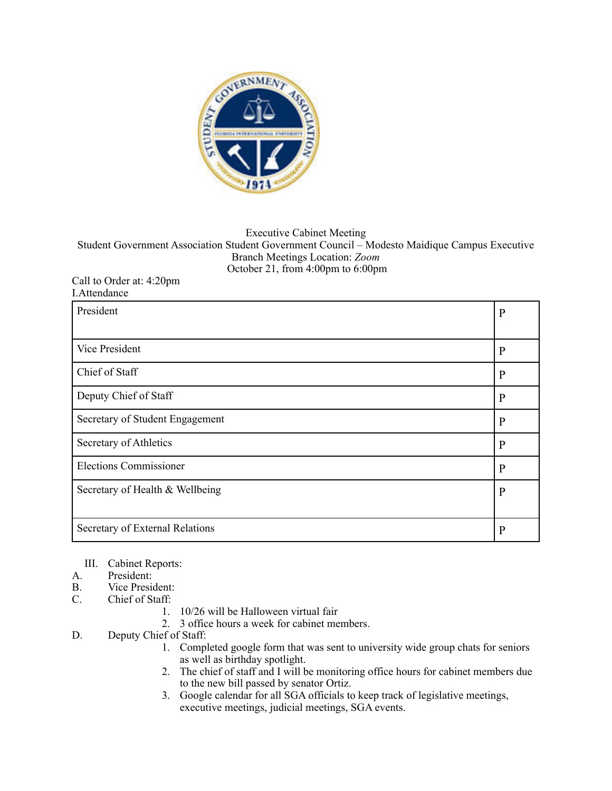

## Executive Cabinet Meeting Student Government Association Student Government Council – Modesto Maidique Campus Executive Branch Meetings Location: *Zoom*  October 21, from 4:00pm to 6:00pm

## Call to Order at: 4:20pm I.Attendance

| President                       | $\mathbf{P}$ |
|---------------------------------|--------------|
|                                 |              |
| <b>Vice President</b>           | $\mathbf{P}$ |
| Chief of Staff                  | $\mathbf{P}$ |
| Deputy Chief of Staff           | $\mathbf{P}$ |
| Secretary of Student Engagement | $\mathbf{P}$ |
| Secretary of Athletics          | $\mathbf{P}$ |
| <b>Elections Commissioner</b>   | $\mathbf{P}$ |
| Secretary of Health & Wellbeing | $\mathbf{P}$ |
|                                 |              |
| Secretary of External Relations | P            |

- III. Cabinet Reports:
- A. President:<br>B. Vice Presid
- B. Vice President:<br>C. Chief of Staff:
- Chief of Staff:
	- 1. 10/26 will be Halloween virtual fair
	- 2. 3 office hours a week for cabinet members.
- D. Deputy Chief of Staff:
	- 1. Completed google form that was sent to university wide group chats for seniors as well as birthday spotlight.
	- 2. The chief of staff and I will be monitoring office hours for cabinet members due to the new bill passed by senator Ortiz.
	- 3. Google calendar for all SGA officials to keep track of legislative meetings, executive meetings, judicial meetings, SGA events.